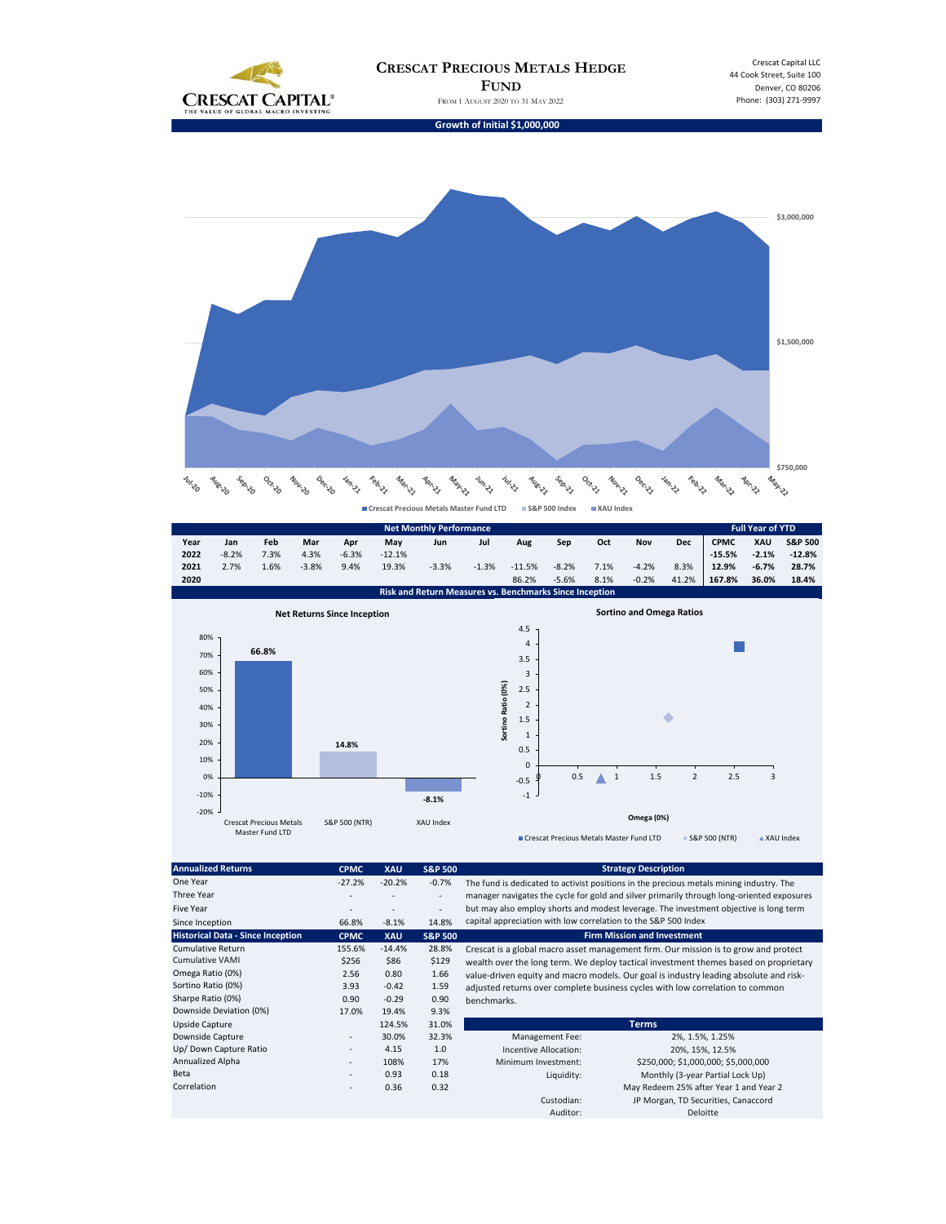

Crescat Capital LLC 44 Cook Street, Suite 100 Denver, CO 80206 Phone: (303) 271-9997

**Growth of Initial \$1,000,000**



|                                                                                        |                                    |       |         |         |          | <b>Net Monthly Performance</b> |                                                                           |                |         |              |         |                |             | <b>Full Year of YTD</b> |                    |
|----------------------------------------------------------------------------------------|------------------------------------|-------|---------|---------|----------|--------------------------------|---------------------------------------------------------------------------|----------------|---------|--------------|---------|----------------|-------------|-------------------------|--------------------|
| Year                                                                                   | Jan                                | Feb   | Mar     | Apr     | May      | Jun                            | Jul                                                                       | Aug            | Sep     | Oct          | Nov     | <b>Dec</b>     | <b>CPMC</b> | XAU                     | <b>S&amp;P 500</b> |
| 2022                                                                                   | $-8.2%$                            | 7.3%  | 4.3%    | $-6.3%$ | $-12.1%$ |                                |                                                                           |                |         |              |         |                | $-15.5%$    | $-2.1%$                 | $-12.8%$           |
| 2021                                                                                   | 2.7%                               | 1.6%  | $-3.8%$ | 9.4%    | 19.3%    | $-3.3%$                        | $-1.3%$                                                                   | $-11.5%$       | $-8.2%$ | 7.1%         | $-4.2%$ | 8.3%           | 12.9%       | $-6.7%$                 | 28.7%              |
| 2020                                                                                   |                                    |       |         |         |          |                                |                                                                           | 86.2%          | $-5.6%$ | 8.1%         | $-0.2%$ | 41.2%          | 167.8%      | 36.0%                   | 18.4%              |
|                                                                                        |                                    |       |         |         |          |                                | Risk and Return Measures vs. Benchmarks Since Inception                   |                |         |              |         |                |             |                         |                    |
|                                                                                        | <b>Net Returns Since Inception</b> |       |         |         |          |                                | <b>Sortino and Omega Ratios</b>                                           |                |         |              |         |                |             |                         |                    |
|                                                                                        |                                    |       |         |         |          |                                |                                                                           | 4.5            |         |              |         |                |             |                         |                    |
| 80%                                                                                    |                                    |       |         |         |          |                                |                                                                           | 4              |         |              |         |                |             |                         |                    |
| 70%                                                                                    |                                    | 66.8% |         |         |          |                                |                                                                           | 3.5            |         |              |         |                |             |                         |                    |
| 60%                                                                                    |                                    |       |         |         |          |                                |                                                                           | $\overline{3}$ |         |              |         |                |             |                         |                    |
| 50%                                                                                    |                                    |       |         |         |          |                                |                                                                           | 2.5            |         |              |         |                |             |                         |                    |
|                                                                                        |                                    |       |         |         |          |                                |                                                                           |                |         |              |         |                |             |                         |                    |
| 40%                                                                                    |                                    |       |         |         |          |                                |                                                                           | $\overline{2}$ |         |              |         |                |             |                         |                    |
| 30%                                                                                    |                                    |       |         |         |          |                                | Sortino Ratio (0%)                                                        | 1.5            |         |              |         |                |             |                         |                    |
| 20%                                                                                    |                                    |       |         |         |          |                                |                                                                           | 1              |         |              |         |                |             |                         |                    |
|                                                                                        |                                    |       |         | 14.8%   |          |                                |                                                                           | 0.5            |         |              |         |                |             |                         |                    |
| 10%                                                                                    |                                    |       |         |         |          |                                |                                                                           | 0              |         |              |         |                |             |                         |                    |
| 0%                                                                                     |                                    |       |         |         |          |                                |                                                                           | $-0.5$         | 0.5     | $\mathbf{1}$ | 1.5     | $\overline{2}$ | 2.5         | 3                       |                    |
| $-10%$                                                                                 |                                    |       |         |         |          |                                |                                                                           |                |         |              |         |                |             |                         |                    |
|                                                                                        |                                    |       |         |         |          | $-8.1%$                        |                                                                           | $-1$           |         |              |         |                |             |                         |                    |
| $-20%$                                                                                 |                                    |       |         |         |          | Omega (0%)                     |                                                                           |                |         |              |         |                |             |                         |                    |
| <b>Crescat Precious Metals</b><br>S&P 500 (NTR)<br><b>XAU Index</b><br>Master Fund LTD |                                    |       |         |         |          |                                |                                                                           |                |         |              |         |                |             |                         |                    |
|                                                                                        |                                    |       |         |         |          |                                | ◆ S&P 500 (NTR)<br>Crescat Precious Metals Master Fund LTD<br>▲ XAU Index |                |         |              |         |                |             |                         |                    |

| <b>Annualized Returns</b>                | <b>CPMC</b>              | <b>XAU</b> | <b>S&amp;P 500</b>       |                                                                                                                                                                                                                                                                               | <b>Strategy Description</b>            |  |  |  |  |  |
|------------------------------------------|--------------------------|------------|--------------------------|-------------------------------------------------------------------------------------------------------------------------------------------------------------------------------------------------------------------------------------------------------------------------------|----------------------------------------|--|--|--|--|--|
| One Year                                 | $-27.2%$                 | $-20.2%$   | $-0.7%$                  | The fund is dedicated to activist positions in the precious metals mining industry. The<br>manager navigates the cycle for gold and silver primarily through long-oriented exposures<br>but may also employ shorts and modest leverage. The investment objective is long term |                                        |  |  |  |  |  |
| Three Year                               |                          |            | $\overline{\phantom{a}}$ |                                                                                                                                                                                                                                                                               |                                        |  |  |  |  |  |
| <b>Five Year</b>                         | $\overline{\phantom{a}}$ |            | $\overline{\phantom{a}}$ |                                                                                                                                                                                                                                                                               |                                        |  |  |  |  |  |
| Since Inception                          | 66.8%                    | $-8.1%$    | 14.8%                    | capital appreciation with low correlation to the S&P 500 Index                                                                                                                                                                                                                |                                        |  |  |  |  |  |
| <b>Historical Data - Since Inception</b> | <b>CPMC</b>              | <b>XAU</b> | <b>S&amp;P 500</b>       | <b>Firm Mission and Investment</b>                                                                                                                                                                                                                                            |                                        |  |  |  |  |  |
| <b>Cumulative Return</b>                 | 155.6%                   | $-14.4%$   | 28.8%                    | Crescat is a global macro asset management firm. Our mission is to grow and protect                                                                                                                                                                                           |                                        |  |  |  |  |  |
| <b>Cumulative VAMI</b>                   | \$256                    | \$86       | \$129                    | wealth over the long term. We deploy tactical investment themes based on proprietary<br>value-driven equity and macro models. Our goal is industry leading absolute and risk-<br>adjusted returns over complete business cycles with low correlation to common                |                                        |  |  |  |  |  |
| Omega Ratio (0%)                         | 2.56                     | 0.80       | 1.66                     |                                                                                                                                                                                                                                                                               |                                        |  |  |  |  |  |
| Sortino Ratio (0%)                       | 3.93                     | $-0.42$    | 1.59                     |                                                                                                                                                                                                                                                                               |                                        |  |  |  |  |  |
| Sharpe Ratio (0%)                        | 0.90                     | $-0.29$    | 0.90                     | benchmarks.                                                                                                                                                                                                                                                                   |                                        |  |  |  |  |  |
| Downside Deviation (0%)                  | 17.0%                    | 19.4%      | 9.3%                     |                                                                                                                                                                                                                                                                               |                                        |  |  |  |  |  |
| Upside Capture                           |                          | 124.5%     | 31.0%                    |                                                                                                                                                                                                                                                                               | <b>Terms</b>                           |  |  |  |  |  |
| Downside Capture                         | $\overline{\phantom{a}}$ | 30.0%      | 32.3%                    | Management Fee:                                                                                                                                                                                                                                                               | 2%, 1.5%, 1.25%                        |  |  |  |  |  |
| Up/ Down Capture Ratio                   | $\overline{\phantom{a}}$ | 4.15       | 1.0                      | Incentive Allocation:                                                                                                                                                                                                                                                         | 20%, 15%, 12.5%                        |  |  |  |  |  |
| Annualized Alpha                         | ٠                        | 108%       | 17%                      | Minimum Investment:                                                                                                                                                                                                                                                           | \$250,000; \$1,000,000; \$5,000,000    |  |  |  |  |  |
| Beta                                     | $\overline{\phantom{a}}$ | 0.93       | 0.18                     | Liquidity:                                                                                                                                                                                                                                                                    | Monthly (3-year Partial Lock Up)       |  |  |  |  |  |
| Correlation                              | $\overline{\phantom{a}}$ | 0.36       | 0.32                     |                                                                                                                                                                                                                                                                               | May Redeem 25% after Year 1 and Year 2 |  |  |  |  |  |
|                                          |                          |            |                          | Custodian:                                                                                                                                                                                                                                                                    | JP Morgan, TD Securities, Canaccord    |  |  |  |  |  |
|                                          |                          |            |                          | Auditor:                                                                                                                                                                                                                                                                      | Deloitte                               |  |  |  |  |  |